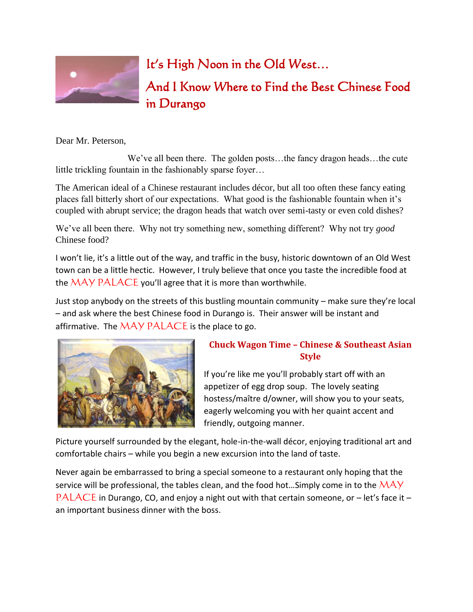

## It's High Noon in the Old West…

And I Know Where to Find the Best Chinese Food in Durango

Dear Mr. Peterson,

 We've all been there. The golden posts…the fancy dragon heads…the cute little trickling fountain in the fashionably sparse foyer…

The American ideal of a Chinese restaurant includes décor, but all too often these fancy eating places fall bitterly short of our expectations. What good is the fashionable fountain when it's coupled with abrupt service; the dragon heads that watch over semi-tasty or even cold dishes?

We've all been there. Why not try something new, something different? Why not try *good* Chinese food?

I won't lie, it's a little out of the way, and traffic in the busy, historic downtown of an Old West town can be a little hectic. However, I truly believe that once you taste the incredible food at the  $\overline{MAY}$  PALACE you'll agree that it is more than worthwhile.

Just stop anybody on the streets of this bustling mountain community – make sure they're local – and ask where the best Chinese food in Durango is. Their answer will be instant and affirmative. The  $\overline{MAY}$  PALACE is the place to go.



## **Chuck Wagon Time – Chinese & Southeast Asian Style**

If you're like me you'll probably start off with an appetizer of egg drop soup. The lovely seating hostess/maître d/owner, will show you to your seats, eagerly welcoming you with her quaint accent and friendly, outgoing manner.

Picture yourself surrounded by the elegant, hole-in-the-wall décor, enjoying traditional art and comfortable chairs – while you begin a new excursion into the land of taste.

Never again be embarrassed to bring a special someone to a restaurant only hoping that the service will be professional, the tables clean, and the food hot...Simply come in to the  $\mathcal{MAY}$ PALACE in Durango, CO, and enjoy a night out with that certain someone, or  $-$  let's face it  $$ an important business dinner with the boss.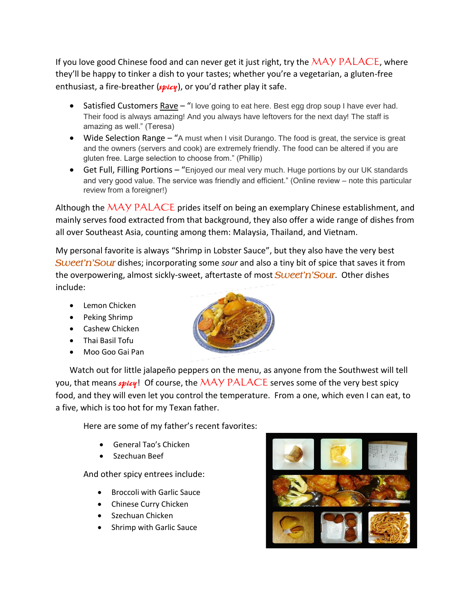If you love good Chinese food and can never get it just right, try the  $\overline{MAY}$  PALACE, where they'll be happy to tinker a dish to your tastes; whether you're a vegetarian, a gluten-free enthusiast, a fire-breather (*spicy*), or you'd rather play it safe.

- Satisfied Customers Rave "I love going to eat here. Best egg drop soup I have ever had. Their food is always amazing! And you always have leftovers for the next day! The staff is amazing as well." (Teresa)
- Wide Selection Range "A must when I visit Durango. The food is great, the service is great and the owners (servers and cook) are extremely friendly. The food can be altered if you are gluten free. Large selection to choose from." (Phillip)
- Get Full, Filling Portions "Enjoyed our meal very much. Huge portions by our UK standards and very good value. The service was friendly and efficient." (Online review – note this particular review from a foreigner!)

Although the  $\overline{MAY}$  PALACE prides itself on being an exemplary Chinese establishment, and mainly serves food extracted from that background, they also offer a wide range of dishes from all over Southeast Asia, counting among them: Malaysia, Thailand, and Vietnam.

My personal favorite is always "Shrimp in Lobster Sauce", but they also have the very best *Sweet'n'Sour* dishes; incorporating some *sour* and also a tiny bit of spice that saves it from the overpowering, almost sickly-sweet, aftertaste of most *Sweet'n'Sour*. Other dishes include:

- Lemon Chicken
- Peking Shrimp
- Cashew Chicken
- Thai Basil Tofu
- Moo Goo Gai Pan



Watch out for little jalapeño peppers on the menu, as anyone from the Southwest will tell you, that means *spicy*! Of course, the MAY PALACE serves some of the very best spicy food, and they will even let you control the temperature. From a one, which even I can eat, to a five, which is too hot for my Texan father.

Here are some of my father's recent favorites:

- General Tao's Chicken
- Szechuan Beef

And other spicy entrees include:

- Broccoli with Garlic Sauce
- Chinese Curry Chicken
- Szechuan Chicken
- Shrimp with Garlic Sauce